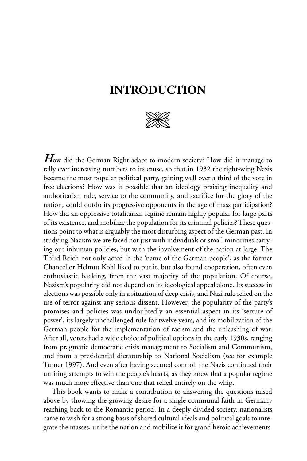## **INTRODUCTION**



*H*ow did the German Right adapt to modern society? How did it manage to rally ever increasing numbers to its cause, so that in 1932 the right-wing Nazis became the most popular political party, gaining well over a third of the vote in free elections? How was it possible that an ideology praising inequality and authoritarian rule, service to the community, and sacrifice for the glory of the nation, could outdo its progressive opponents in the age of mass participation? How did an oppressive totalitarian regime remain highly popular for large parts of its existence, and mobilize the population for its criminal policies? These questions point to what is arguably the most disturbing aspect of the German past. In studying Nazism we are faced not just with individuals or small minorities carrying out inhuman policies, but with the involvement of the nation at large. The Third Reich not only acted in the 'name of the German people', as the former Chancellor Helmut Kohl liked to put it, but also found cooperation, often even enthusiastic backing, from the vast majority of the population. Of course, Nazism's popularity did not depend on its ideological appeal alone. Its success in elections was possible only in a situation of deep crisis, and Nazi rule relied on the use of terror against any serious dissent. However, the popularity of the party's promises and policies was undoubtedly an essential aspect in its 'seizure of power', its largely unchallenged rule for twelve years, and its mobilization of the German people for the implementation of racism and the unleashing of war. After all, voters had a wide choice of political options in the early 1930s, ranging from pragmatic democratic crisis management to Socialism and Communism, and from a presidential dictatorship to National Socialism (see for example Turner 1997). And even after having secured control, the Nazis continued their untiring attempts to win the people's hearts, as they knew that a popular regime was much more effective than one that relied entirely on the whip.

This book wants to make a contribution to answering the questions raised above by showing the growing desire for a single communal faith in Germany reaching back to the Romantic period. In a deeply divided society, nationalists came to wish for a strong basis of shared cultural ideals and political goals to integrate the masses, unite the nation and mobilize it for grand heroic achievements.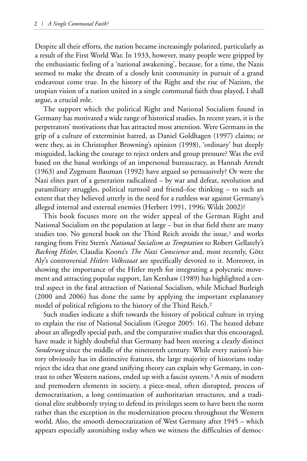Despite all their efforts, the nation became increasingly polarized, particularly as a result of the First World War. In 1933, however, many people were gripped by the enthusiastic feeling of a 'national awakening', because, for a time, the Nazis seemed to make the dream of a closely knit community in pursuit of a grand endeavour come true. In the history of the Right and the rise of Nazism, the utopian vision of a nation united in a single communal faith thus played, I shall argue, a crucial role.

The support which the political Right and National Socialism found in Germany has motivated a wide range of historical studies. In recent years, it is the perpetrators' motivations that has attracted most attention. Were Germans in the grip of a culture of exterminist hatred, as Daniel Goldhagen (1997) claims; or were they, as in Christopher Browning's opinion (1998), 'ordinary' but deeply misguided, lacking the courage to reject orders and group pressure? Was the evil based on the banal workings of an impersonal bureaucracy, as Hannah Arendt (1963) and Zygmunt Bauman (1992) have argued so persuasively? Or were the Nazi elites part of a generation radicalized – by war and defeat, revolution and paramilitary struggles, political turmoil and friend–foe thinking – to such an extent that they believed utterly in the need for a ruthless war against Germany's alleged internal and external enemies (Herbert 1991, 1996; Wildt 2002)?

This book focuses more on the wider appeal of the German Right and National Socialism on the population at large – but in that field there are many studies too. No general book on the Third Reich avoids the issue,<sup>1</sup> and works ranging from Fritz Stern's *National Socialism as Temptation* to Robert Gellately's *Backing Hitler*, Claudia Koonz's *The Nazi Conscience* and, most recently, Götz Aly's controversial *Hitlers Volksstaat* are specifically devoted to it. Moreover, in showing the importance of the Hitler myth for integrating a polycratic movement and attracting popular support, Ian Kershaw (1989) has highlighted a central aspect in the fatal attraction of National Socialism, while Michael Burleigh (2000 and 2006) has done the same by applying the important explanatory model of political religions to the history of the Third Reich.2

Such studies indicate a shift towards the history of political culture in trying to explain the rise of National Socialism (Gregor 2005: 16). The heated debate about an allegedly special path, and the comparative studies that this encouraged, have made it highly doubtful that Germany had been steering a clearly distinct *Sonderweg* since the middle of the nineteenth century. While every nation's history obviously has its distinctive features, the large majority of historians today reject the idea that one grand unifying theory can explain why Germany, in contrast to other Western nations, ended up with a fascist system.3 A mix of modern and premodern elements in society, a piece-meal, often disrupted, process of democratization, a long continuation of authoritarian structures, and a traditional elite stubbornly trying to defend its privileges seem to have been the norm rather than the exception in the modernization process throughout the Western world. Also, the smooth democratization of West Germany after 1945 – which appears especially astonishing today when we witness the difficulties of democ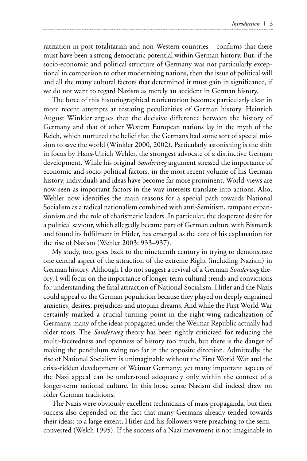ratization in post-totalitarian and non-Western countries – confirms that there must have been a strong democratic potential within German history. But, if the socio-economic and political structure of Germany was not particularly exceptional in comparison to other modernizing nations, then the issue of political will and all the many cultural factors that determined it must gain in significance, if we do not want to regard Nazism as merely an accident in German history.

The force of this historiographical reorientation becomes particularly clear in more recent attempts at restating peculiarities of German history. Heinrich August Winkler argues that the decisive difference between the history of Germany and that of other Western European nations lay in the myth of the Reich, which nurtured the belief that the Germans had some sort of special mission to save the world (Winkler 2000, 2002). Particularly astonishing is the shift in focus by Hans-Ulrich Wehler, the strongest advocate of a distinctive German development. While his original *Sonderweg* argument stressed the importance of economic and socio-political factors, in the most recent volume of his German history, individuals and ideas have become far more prominent. World-views are now seen as important factors in the way interests translate into actions. Also, Wehler now identifies the main reasons for a special path towards National Socialism as a radical nationalism combined with anti-Semitism, rampant expansionism and the role of charismatic leaders. In particular, the desperate desire for a political saviour, which allegedly became part of German culture with Bismarck and found its fulfilment in Hitler, has emerged as the core of his explanation for the rise of Nazism (Wehler 2003: 933–937).

My study, too, goes back to the nineteenth century in trying to demonstrate one central aspect of the attraction of the extreme Right (including Nazism) in German history. Although I do not suggest a revival of a German *Sonderweg* theory, I will focus on the importance of longer-term cultural trends and convictions for understanding the fatal attraction of National Socialism. Hitler and the Nazis could appeal to the German population because they played on deeply engrained anxieties, desires, prejudices and utopian dreams. And while the First World War certainly marked a crucial turning point in the right-wing radicalization of Germany, many of the ideas propagated under the Weimar Republic actually had older roots. The *Sonderweg* theory has been rightly criticized for reducing the multi-facetedness and openness of history too much, but there is the danger of making the pendulum swing too far in the opposite direction. Admittedly, the rise of National Socialism is unimaginable without the First World War and the crisis-ridden development of Weimar Germany; yet many important aspects of the Nazi appeal can be understood adequately only within the context of a longer-term national culture. In this loose sense Nazism did indeed draw on older German traditions.

The Nazis were obviously excellent technicians of mass propaganda, but their success also depended on the fact that many Germans already tended towards their ideas; to a large extent, Hitler and his followers were preaching to the semiconverted (Welch 1995). If the success of a Nazi movement is not imaginable in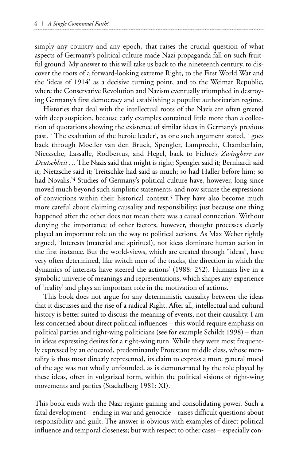simply any country and any epoch, that raises the crucial question of what aspects of Germany's political culture made Nazi propaganda fall on such fruitful ground. My answer to this will take us back to the nineteenth century, to discover the roots of a forward-looking extreme Right, to the First World War and the 'ideas of 1914' as a decisive turning point, and to the Weimar Republic, where the Conservative Revolution and Nazism eventually triumphed in destroying Germany's first democracy and establishing a populist authoritarian regime.

Histories that deal with the intellectual roots of the Nazis are often greeted with deep suspicion, because early examples contained little more than a collection of quotations showing the existence of similar ideas in Germany's previous past. ' The exaltation of the heroic leader', as one such argument stated, ' goes back through Moeller van den Bruck, Spengler, Lamprecht, Chamberlain, Nietzsche, Lassalle, Rodbertus, and Hegel, back to Fichte's *Zwingherr zur Deutschheit* … The Nazis said that might is right; Spengler said it; Bernhardi said it; Nietzsche said it; Treitschke had said as much; so had Haller before him; so had Novalis.'4 Studies of Germany's political culture have, however, long since moved much beyond such simplistic statements, and now situate the expressions of convictions within their historical context.5 They have also become much more careful about claiming causality and responsibility; just because one thing happened after the other does not mean there was a causal connection. Without denying the importance of other factors, however, thought processes clearly played an important role on the way to political actions. As Max Weber rightly argued, 'Interests (material and spiritual), not ideas dominate human action in the first instance. But the world-views, which are created through "ideas", have very often determined, like switch men of the tracks, the direction in which the dynamics of interests have steered the actions' (1988: 252). Humans live in a symbolic universe of meanings and representations, which shapes any experience of 'reality' and plays an important role in the motivation of actions.

This book does not argue for any deterministic causality between the ideas that it discusses and the rise of a radical Right. After all, intellectual and cultural history is better suited to discuss the meaning of events, not their causality. I am less concerned about direct political influences – this would require emphasis on political parties and right-wing politicians (see for example Schildt 1998) – than in ideas expressing desires for a right-wing turn. While they were most frequently expressed by an educated, predominantly Protestant middle class, whose mentality is thus most directly represented, its claim to express a more general mood of the age was not wholly unfounded, as is demonstrated by the role played by these ideas, often in vulgarized form, within the political visions of right-wing movements and parties (Stackelberg 1981: XI).

This book ends with the Nazi regime gaining and consolidating power. Such a fatal development – ending in war and genocide – raises difficult questions about responsibility and guilt. The answer is obvious with examples of direct political influence and temporal closeness; but with respect to other cases – especially con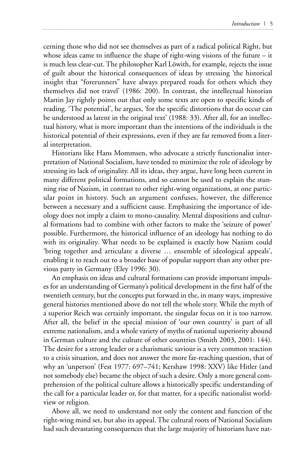cerning those who did not see themselves as part of a radical political Right, but whose ideas came to influence the shape of right-wing visions of the future – it is much less clear-cut. The philosopher Karl Löwith, for example, rejects the issue of guilt about the historical consequences of ideas by stressing 'the historical insight that "forerunners" have always prepared roads for others which they themselves did not travel' (1986: 200). In contrast, the intellectual historian Martin Jay rightly points out that only some texts are open to specific kinds of reading. 'The potential', he argues, 'for the specific distortions that do occur can be understood as latent in the original text' (1988: 33). After all, for an intellectual history, what is more important than the intentions of the individuals is the historical potential of their expressions, even if they are far removed from a literal interpretation.

Historians like Hans Mommsen, who advocate a strictly functionalist interpretation of National Socialism, have tended to minimize the role of ideology by stressing its lack of originality. All its ideas, they argue, have long been current in many different political formations, and so cannot be used to explain the stunning rise of Nazism, in contrast to other right-wing organizations, at one particular point in history. Such an argument confuses, however, the difference between a necessary and a sufficient cause. Emphasizing the importance of ideology does not imply a claim to mono-causality. Mental dispositions and cultural formations had to combine with other factors to make the 'seizure of power' possible. Furthermore, the historical influence of an ideology has nothing to do with its originality. What needs to be explained is exactly how Nazism could 'bring together and articulate a diverse … ensemble of ideological appeals', enabling it to reach out to a broader base of popular support than any other previous party in Germany (Eley 1996: 30).

An emphasis on ideas and cultural formations can provide important impulses for an understanding of Germany's political development in the first half of the twentieth century, but the concepts put forward in the, in many ways, impressive general histories mentioned above do not tell the whole story. While the myth of a superior Reich was certainly important, the singular focus on it is too narrow. After all, the belief in the special mission of 'our own country' is part of all extreme nationalism, and a whole variety of myths of national superiority abound in German culture and the culture of other countries (Smith 2003, 2001: 144). The desire for a strong leader or a charismatic saviour is a very common reaction to a crisis situation, and does not answer the more far-reaching question, that of why an 'unperson' (Fest 1977: 697–741; Kershaw 1998: XXV) like Hitler (and not somebody else) became the object of such a desire. Only a more general comprehension of the political culture allows a historically specific understanding of the call for a particular leader or, for that matter, for a specific nationalist worldview or religion.

Above all, we need to understand not only the content and function of the right-wing mind set, but also its appeal. The cultural roots of National Socialism had such devastating consequences that the large majority of historians have nat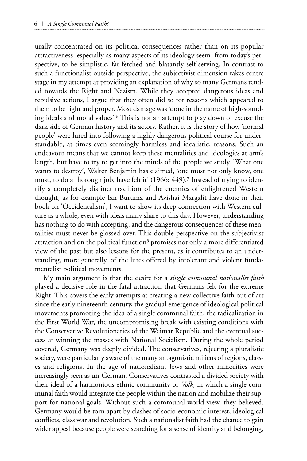urally concentrated on its political consequences rather than on its popular attractiveness, especially as many aspects of its ideology seem, from today's perspective, to be simplistic, far-fetched and blatantly self-serving. In contrast to such a functionalist outside perspective, the subjectivist dimension takes centre stage in my attempt at providing an explanation of why so many Germans tended towards the Right and Nazism. While they accepted dangerous ideas and repulsive actions, I argue that they often did so for reasons which appeared to them to be right and proper. Most damage was 'done in the name of high-sounding ideals and moral values'.6 This is not an attempt to play down or excuse the dark side of German history and its actors. Rather, it is the story of how 'normal people' were lured into following a highly dangerous political course for understandable, at times even seemingly harmless and idealistic, reasons. Such an endeavour means that we cannot keep these mentalities and ideologies at arm's length, but have to try to get into the minds of the people we study. 'What one wants to destroy', Walter Benjamin has claimed, 'one must not only know, one must, to do a thorough job, have felt it' (1966: 449).7 Instead of trying to identify a completely distinct tradition of the enemies of enlightened Western thought, as for example Ian Buruma and Avishai Margalit have done in their book on 'Occidentalism', I want to show its deep connection with Western culture as a whole, even with ideas many share to this day. However, understanding has nothing to do with accepting, and the dangerous consequences of these mentalities must never be glossed over. This double perspective on the subjectivist attraction and on the political function<sup>8</sup> promises not only a more differentiated view of the past but also lessons for the present, as it contributes to an understanding, more generally, of the lures offered by intolerant and violent fundamentalist political movements.

My main argument is that the desire for a *single communal nationalist faith* played a decisive role in the fatal attraction that Germans felt for the extreme Right. This covers the early attempts at creating a new collective faith out of art since the early nineteenth century, the gradual emergence of ideological political movements promoting the idea of a single communal faith, the radicalization in the First World War, the uncompromising break with existing conditions with the Conservative Revolutionaries of the Weimar Republic and the eventual success at winning the masses with National Socialism. During the whole period covered, Germany was deeply divided. The conservatives, rejecting a pluralistic society, were particularly aware of the many antagonistic milieus of regions, classes and religions. In the age of nationalism, Jews and other minorities were increasingly seen as un-German. Conservatives contrasted a divided society with their ideal of a harmonious ethnic community or *Volk*, in which a single communal faith would integrate the people within the nation and mobilize their support for national goals. Without such a communal world-view, they believed, Germany would be torn apart by clashes of socio-economic interest, ideological conflicts, class war and revolution. Such a nationalist faith had the chance to gain wider appeal because people were searching for a sense of identity and belonging,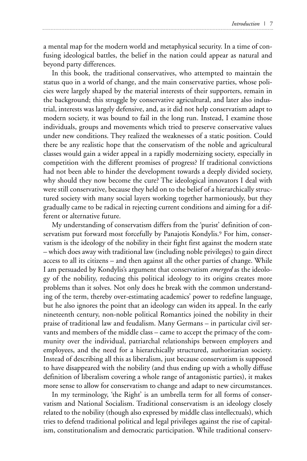a mental map for the modern world and metaphysical security. In a time of confusing ideological battles, the belief in the nation could appear as natural and beyond party differences.

In this book, the traditional conservatives, who attempted to maintain the status quo in a world of change, and the main conservative parties, whose policies were largely shaped by the material interests of their supporters, remain in the background; this struggle by conservative agricultural, and later also industrial, interests was largely defensive, and, as it did not help conservatism adapt to modern society, it was bound to fail in the long run. Instead, I examine those individuals, groups and movements which tried to preserve conservative values under new conditions. They realized the weaknesses of a static position. Could there be any realistic hope that the conservatism of the noble and agricultural classes would gain a wider appeal in a rapidly modernizing society, especially in competition with the different promises of progress? If traditional convictions had not been able to hinder the development towards a deeply divided society, why should they now become the cure? The ideological innovators I deal with were still conservative, because they held on to the belief of a hierarchically structured society with many social layers working together harmoniously, but they gradually came to be radical in rejecting current conditions and aiming for a different or alternative future.

My understanding of conservatism differs from the 'purist' definition of conservatism put forward most forcefully by Panajotis Kondylis.9 For him, conservatism is the ideology of the nobility in their fight first against the modern state – which does away with traditional law (including noble privileges) to gain direct access to all its citizens – and then against all the other parties of change. While I am persuaded by Kondylis's argument that conservatism *emerged* as the ideology of the nobility, reducing this political ideology to its origins creates more problems than it solves. Not only does he break with the common understanding of the term, thereby over-estimating academics' power to redefine language, but he also ignores the point that an ideology can widen its appeal. In the early nineteenth century, non-noble political Romantics joined the nobility in their praise of traditional law and feudalism. Many Germans – in particular civil servants and members of the middle class – came to accept the primacy of the community over the individual, patriarchal relationships between employers and employees, and the need for a hierarchically structured, authoritarian society. Instead of describing all this as liberalism, just because conservatism is supposed to have disappeared with the nobility (and thus ending up with a wholly diffuse definition of liberalism covering a whole range of antagonistic parties), it makes more sense to allow for conservatism to change and adapt to new circumstances.

In my terminology, 'the Right' is an umbrella term for all forms of conservatism and National Socialism. Traditional conservatism is an ideology closely related to the nobility (though also expressed by middle class intellectuals), which tries to defend traditional political and legal privileges against the rise of capitalism, constitutionalism and democratic participation. While traditional conserv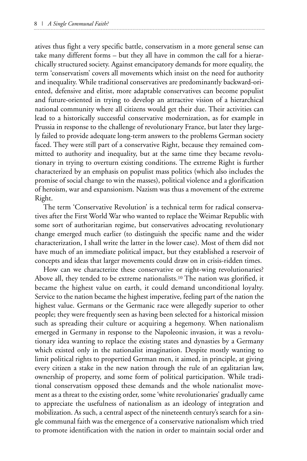atives thus fight a very specific battle, conservatism in a more general sense can take many different forms – but they all have in common the call for a hierarchically structured society. Against emancipatory demands for more equality, the term 'conservatism' covers all movements which insist on the need for authority and inequality. While traditional conservatives are predominantly backward-oriented, defensive and elitist, more adaptable conservatives can become populist and future-oriented in trying to develop an attractive vision of a hierarchical national community where all citizens would get their due. Their activities can lead to a historically successful conservative modernization, as for example in Prussia in response to the challenge of revolutionary France, but later they largely failed to provide adequate long-term answers to the problems German society faced. They were still part of a conservative Right, because they remained committed to authority and inequality, but at the same time they became revolutionary in trying to overturn existing conditions. The extreme Right is further characterized by an emphasis on populist mass politics (which also includes the promise of social change to win the masses), political violence and a glorification of heroism, war and expansionism. Nazism was thus a movement of the extreme Right.

The term 'Conservative Revolution' is a technical term for radical conservatives after the First World War who wanted to replace the Weimar Republic with some sort of authoritarian regime, but conservatives advocating revolutionary change emerged much earlier (to distinguish the specific name and the wider characterization, I shall write the latter in the lower case). Most of them did not have much of an immediate political impact, but they established a reservoir of concepts and ideas that larger movements could draw on in crisis-ridden times.

How can we characterize these conservative or right-wing revolutionaries? Above all, they tended to be extreme nationalists.10 The nation was glorified, it became the highest value on earth, it could demand unconditional loyalty. Service to the nation became the highest imperative, feeling part of the nation the highest value. Germans or the Germanic race were allegedly superior to other people; they were frequently seen as having been selected for a historical mission such as spreading their culture or acquiring a hegemony. When nationalism emerged in Germany in response to the Napoleonic invasion, it was a revolutionary idea wanting to replace the existing states and dynasties by a Germany which existed only in the nationalist imagination. Despite mostly wanting to limit political rights to propertied German men, it aimed, in principle, at giving every citizen a stake in the new nation through the rule of an egalitarian law, ownership of property, and some form of political participation. While traditional conservatism opposed these demands and the whole nationalist movement as a threat to the existing order, some 'white revolutionaries' gradually came to appreciate the usefulness of nationalism as an ideology of integration and mobilization. As such, a central aspect of the nineteenth century's search for a single communal faith was the emergence of a conservative nationalism which tried to promote identification with the nation in order to maintain social order and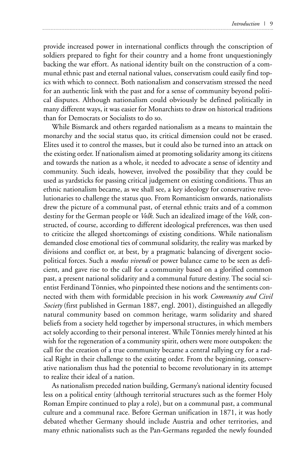provide increased power in international conflicts through the conscription of soldiers prepared to fight for their country and a home front unquestioningly backing the war effort. As national identity built on the construction of a communal ethnic past and eternal national values, conservatism could easily find topics with which to connect. Both nationalism and conservatism stressed the need for an authentic link with the past and for a sense of community beyond political disputes. Although nationalism could obviously be defined politically in many different ways, it was easier for Monarchists to draw on historical traditions than for Democrats or Socialists to do so.

While Bismarck and others regarded nationalism as a means to maintain the monarchy and the social status quo, its critical dimension could not be erased. Elites used it to control the masses, but it could also be turned into an attack on the existing order. If nationalism aimed at promoting solidarity among its citizens and towards the nation as a whole, it needed to advocate a sense of identity and community. Such ideals, however, involved the possibility that they could be used as yardsticks for passing critical judgement on existing conditions. Thus an ethnic nationalism became, as we shall see, a key ideology for conservative revolutionaries to challenge the status quo. From Romanticism onwards, nationalists drew the picture of a communal past, of eternal ethnic traits and of a common destiny for the German people or *Volk*. Such an idealized image of the *Volk*, constructed, of course, according to different ideological preferences, was then used to criticize the alleged shortcomings of existing conditions. While nationalism demanded close emotional ties of communal solidarity, the reality was marked by divisions and conflict or, at best, by a pragmatic balancing of divergent sociopolitical forces. Such a *modus vivendi* or power balance came to be seen as deficient, and gave rise to the call for a community based on a glorified common past, a present national solidarity and a communal future destiny. The social scientist Ferdinand Tönnies, who pinpointed these notions and the sentiments connected with them with formidable precision in his work *Community and Civil Society* (first published in German 1887, engl. 2001), distinguished an allegedly natural community based on common heritage, warm solidarity and shared beliefs from a society held together by impersonal structures, in which members act solely according to their personal interest. While Tönnies merely hinted at his wish for the regeneration of a community spirit, others were more outspoken: the call for the creation of a true community became a central rallying cry for a radical Right in their challenge to the existing order. From the beginning, conservative nationalism thus had the potential to become revolutionary in its attempt to realize their ideal of a nation.

As nationalism preceded nation building, Germany's national identity focused less on a political entity (although territorial structures such as the former Holy Roman Empire continued to play a role), but on a communal past, a communal culture and a communal race. Before German unification in 1871, it was hotly debated whether Germany should include Austria and other territories, and many ethnic nationalists such as the Pan-Germans regarded the newly founded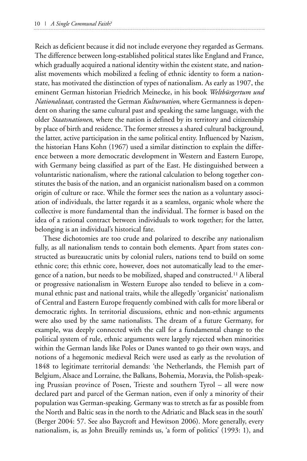Reich as deficient because it did not include everyone they regarded as Germans. The difference between long-established political states like England and France, which gradually acquired a national identity within the existent state, and nationalist movements which mobilized a feeling of ethnic identity to form a nationstate, has motivated the distinction of types of nationalism. As early as 1907, the eminent German historian Friedrich Meinecke, in his book *Weltbürgertum und Nationalstaat*, contrasted the German *Kulturnation*, where Germanness is dependent on sharing the same cultural past and speaking the same language, with the older *Staatsnationen*, where the nation is defined by its territory and citizenship by place of birth and residence. The former stresses a shared cultural background, the latter, active participation in the same political entity. Influenced by Nazism, the historian Hans Kohn (1967) used a similar distinction to explain the difference between a more democratic development in Western and Eastern Europe, with Germany being classified as part of the East. He distinguished between a voluntaristic nationalism, where the rational calculation to belong together constitutes the basis of the nation, and an organicist nationalism based on a common origin of culture or race. While the former sees the nation as a voluntary association of individuals, the latter regards it as a seamless, organic whole where the collective is more fundamental than the individual. The former is based on the idea of a rational contract between individuals to work together; for the latter, belonging is an individual's historical fate.

These dichotomies are too crude and polarized to describe any nationalism fully, as all nationalism tends to contain both elements. Apart from states constructed as bureaucratic units by colonial rulers, nations tend to build on some ethnic core; this ethnic core, however, does not automatically lead to the emergence of a nation, but needs to be mobilized, shaped and constructed.11 A liberal or progressive nationalism in Western Europe also tended to believe in a communal ethnic past and national traits, while the allegedly 'organicist' nationalism of Central and Eastern Europe frequently combined with calls for more liberal or democratic rights. In territorial discussions, ethnic and non-ethnic arguments were also used by the same nationalists. The dream of a future Germany, for example, was deeply connected with the call for a fundamental change to the political system of rule, ethnic arguments were largely rejected when minorities within the German lands like Poles or Danes wanted to go their own ways, and notions of a hegemonic medieval Reich were used as early as the revolution of 1848 to legitimate territorial demands: 'the Netherlands, the Flemish part of Belgium, Alsace and Lorraine, the Balkans, Bohemia, Moravia, the Polish-speaking Prussian province of Posen, Trieste and southern Tyrol – all were now declared part and parcel of the German nation, even if only a minority of their population was German-speaking. Germany was to stretch as far as possible from the North and Baltic seas in the north to the Adriatic and Black seas in the south' (Berger 2004: 57. See also Baycroft and Hewitson 2006). More generally, every nationalism, is, as John Breuilly reminds us, 'a form of politics' (1993: 1), and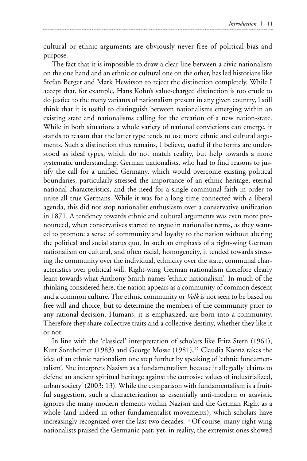cultural or ethnic arguments are obviously never free of political bias and purpose.

The fact that it is impossible to draw a clear line between a civic nationalism on the one hand and an ethnic or cultural one on the other, has led historians like Stefan Berger and Mark Hewitson to reject the distinction completely. While I accept that, for example, Hans Kohn's value-charged distinction is too crude to do justice to the many variants of nationalism present in any given country, I still think that it is useful to distinguish between nationalisms emerging within an existing state and nationalisms calling for the creation of a new nation-state. While in both situations a whole variety of national convictions can emerge, it stands to reason that the latter type tends to use more ethnic and cultural arguments. Such a distinction thus remains, I believe, useful if the forms are understood as ideal types, which do not match reality, but help towards a more systematic understanding. German nationalists, who had to find reasons to justify the call for a unified Germany, which would overcome existing political boundaries, particularly stressed the importance of an ethnic heritage, eternal national characteristics, and the need for a single communal faith in order to unite all true Germans. While it was for a long time connected with a liberal agenda, this did not stop nationalist enthusiasm over a conservative unification in 1871. A tendency towards ethnic and cultural arguments was even more pronounced, when conservatives started to argue in nationalist terms, as they wanted to promote a sense of community and loyalty to the nation without altering the political and social status quo. In such an emphasis of a right-wing German nationalism on cultural, and often racial, homogeneity, it tended towards stressing the community over the individual, ethnicity over the state, communal characteristics over political will. Right-wing German nationalism therefore clearly leant towards what Anthony Smith names 'ethnic nationalism'. In much of the thinking considered here, the nation appears as a community of common descent and a common culture. The ethnic community or *Volk* is not seen to be based on free will and choice, but to determine the members of the community prior to any rational decision. Humans, it is emphasized, are born into a community. Therefore they share collective traits and a collective destiny, whether they like it or not.

In line with the 'classical' interpretation of scholars like Fritz Stern (1961), Kurt Sontheimer (1983) and George Mosse (1981),<sup>12</sup> Claudia Koonz takes the idea of an ethnic nationalism one step further by speaking of 'ethnic fundamentalism'. She interprets Nazism as a fundamentalism because it allegedly 'claims to defend an ancient spiritual heritage against the corrosive values of industrialized, urban society' (2003: 13). While the comparison with fundamentalism is a fruitful suggestion, such a characterization as essentially anti-modern or atavistic ignores the many modern elements within Nazism and the German Right as a whole (and indeed in other fundamentalist movements), which scholars have increasingly recognized over the last two decades.13 Of course, many right-wing nationalists praised the Germanic past; yet, in reality, the extremist ones showed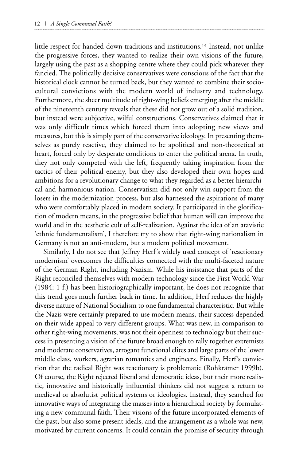little respect for handed-down traditions and institutions.14 Instead, not unlike the progressive forces, they wanted to realize their own visions of the future, largely using the past as a shopping centre where they could pick whatever they fancied. The politically decisive conservatives were conscious of the fact that the historical clock cannot be turned back, but they wanted to combine their sociocultural convictions with the modern world of industry and technology. Furthermore, the sheer multitude of right-wing beliefs emerging after the middle of the nineteenth century reveals that these did not grow out of a solid tradition, but instead were subjective, wilful constructions. Conservatives claimed that it was only difficult times which forced them into adopting new views and measures, but this is simply part of the conservative ideology. In presenting themselves as purely reactive, they claimed to be apolitical and non-theoretical at heart, forced only by desperate conditions to enter the political arena. In truth, they not only competed with the left, frequently taking inspiration from the tactics of their political enemy, but they also developed their own hopes and ambitions for a revolutionary change to what they regarded as a better hierarchical and harmonious nation. Conservatism did not only win support from the losers in the modernization process, but also harnessed the aspirations of many who were comfortably placed in modern society. It participated in the glorification of modern means, in the progressive belief that human will can improve the world and in the aesthetic cult of self-realization. Against the idea of an atavistic 'ethnic fundamentalism', I therefore try to show that right-wing nationalism in Germany is not an anti-modern, but a modern political movement.

Similarly, I do not see that Jeffrey Herf's widely used concept of 'reactionary modernism' overcomes the difficulties connected with the multi-faceted nature of the German Right, including Nazism. While his insistance that parts of the Right reconciled themselves with modern technology since the First World War (1984: 1 f.) has been historiographically important, he does not recognize that this trend goes much further back in time. In addition, Herf reduces the highly diverse nature of National Socialism to one fundamental characteristic. But while the Nazis were certainly prepared to use modern means, their success depended on their wide appeal to very different groups. What was new, in comparison to other right-wing movements, was not their openness to technology but their success in presenting a vision of the future broad enough to rally together extremists and moderate conservatives, arrogant functional elites and large parts of the lower middle class, workers, agrarian romantics and engineers. Finally, Herf's conviction that the radical Right was reactionary is problematic (Rohkrämer 1999b). Of course, the Right rejected liberal and democratic ideas, but their more realistic, innovative and historically influential thinkers did not suggest a return to medieval or absolutist political systems or ideologies. Instead, they searched for innovative ways of integrating the masses into a hierarchical society by formulating a new communal faith. Their visions of the future incorporated elements of the past, but also some present ideals, and the arrangement as a whole was new, motivated by current concerns. It could contain the promise of security through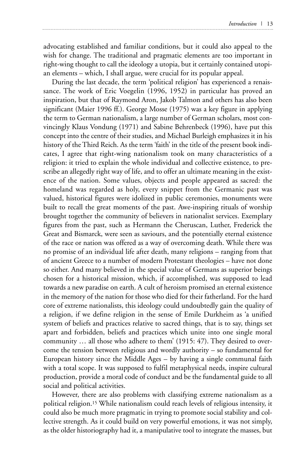advocating established and familiar conditions, but it could also appeal to the wish for change. The traditional and pragmatic elements are too important in right-wing thought to call the ideology a utopia, but it certainly contained utopian elements – which, I shall argue, were crucial for its popular appeal.

During the last decade, the term 'political religion' has experienced a renaissance. The work of Eric Voegelin (1996, 1952) in particular has proved an inspiration, but that of Raymond Aron, Jakob Talmon and others has also been significant (Maier 1996 ff.). George Mosse (1975) was a key figure in applying the term to German nationalism, a large number of German scholars, most convincingly Klaus Vondung (1971) and Sabine Behrenbeck (1996), have put this concept into the centre of their studies, and Michael Burleigh emphasizes it in his history of the Third Reich. As the term 'faith' in the title of the present book indicates, I agree that right-wing nationalism took on many characteristics of a religion: it tried to explain the whole individual and collective existence, to prescribe an allegedly right way of life, and to offer an ultimate meaning in the existence of the nation. Some values, objects and people appeared as sacred: the homeland was regarded as holy, every snippet from the Germanic past was valued, historical figures were idolized in public ceremonies, monuments were built to recall the great moments of the past. Awe-inspiring rituals of worship brought together the community of believers in nationalist services. Exemplary figures from the past, such as Hermann the Cheruscan, Luther, Frederick the Great and Bismarck, were seen as saviours, and the potentially eternal existence of the race or nation was offered as a way of overcoming death. While there was no promise of an individual life after death, many religions – ranging from that of ancient Greece to a number of modern Protestant theologies – have not done so either. And many believed in the special value of Germans as superior beings chosen for a historical mission, which, if accomplished, was supposed to lead towards a new paradise on earth. A cult of heroism promised an eternal existence in the memory of the nation for those who died for their fatherland. For the hard core of extreme nationalists, this ideology could undoubtedly gain the quality of a religion, if we define religion in the sense of Emile Durkheim as 'a unified system of beliefs and practices relative to sacred things, that is to say, things set apart and forbidden, beliefs and practices which unite into one single moral community … all those who adhere to them' (1915: 47). They desired to overcome the tension between religious and wordly authority – so fundamental for European history since the Middle Ages – by having a single communal faith with a total scope. It was supposed to fulfil metaphysical needs, inspire cultural production, provide a moral code of conduct and be the fundamental guide to all social and political activities.

However, there are also problems with classifying extreme nationalism as a political religion.15 While nationalism could reach levels of religious intensity, it could also be much more pragmatic in trying to promote social stability and collective strength. As it could build on very powerful emotions, it was not simply, as the older historiography had it, a manipulative tool to integrate the masses, but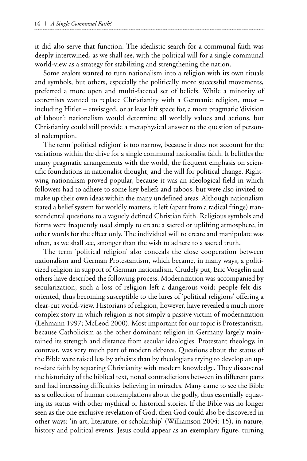it did also serve that function. The idealistic search for a communal faith was deeply intertwined, as we shall see, with the political will for a single communal world-view as a strategy for stabilizing and strengthening the nation.

Some zealots wanted to turn nationalism into a religion with its own rituals and symbols, but others, especially the politically more successful movements, preferred a more open and multi-faceted set of beliefs. While a minority of extremists wanted to replace Christianity with a Germanic religion, most – including Hitler – envisaged, or at least left space for, a more pragmatic 'division of labour': nationalism would determine all worldly values and actions, but Christianity could still provide a metaphysical answer to the question of personal redemption.

The term 'political religion' is too narrow, because it does not account for the variations within the drive for a single communal nationalist faith. It belittles the many pragmatic arrangements with the world, the frequent emphasis on scientific foundations in nationalist thought, and the will for political change. Rightwing nationalism proved popular, because it was an ideological field in which followers had to adhere to some key beliefs and taboos, but were also invited to make up their own ideas within the many undefined areas. Although nationalism stated a belief system for worldly matters, it left (apart from a radical fringe) transcendental questions to a vaguely defined Christian faith. Religious symbols and forms were frequently used simply to create a sacred or uplifting atmosphere, in other words for the effect only. The individual will to create and manipulate was often, as we shall see, stronger than the wish to adhere to a sacred truth.

The term 'political religion' also conceals the close cooperation between nationalism and German Protestantism, which became, in many ways, a politicized religion in support of German nationalism. Crudely put, Eric Voegelin and others have described the following process. Modernization was accompanied by secularization; such a loss of religion left a dangerous void; people felt disoriented, thus becoming susceptible to the lures of 'political religions' offering a clear-cut world-view. Historians of religion, however, have revealed a much more complex story in which religion is not simply a passive victim of modernization (Lehmann 1997; McLeod 2000). Most important for our topic is Protestantism, because Catholicism as the other dominant religion in Germany largely maintained its strength and distance from secular ideologies. Protestant theology, in contrast, was very much part of modern debates. Questions about the status of the Bible were raised less by atheists than by theologians trying to develop an upto-date faith by squaring Christianity with modern knowledge. They discovered the historicity of the biblical text, noted contradictions between its different parts and had increasing difficulties believing in miracles. Many came to see the Bible as a collection of human contemplations about the godly, thus essentially equating its status with other mythical or historical stories. If the Bible was no longer seen as the one exclusive revelation of God, then God could also be discovered in other ways: 'in art, literature, or scholarship' (Williamson 2004: 15), in nature, history and political events. Jesus could appear as an exemplary figure, turning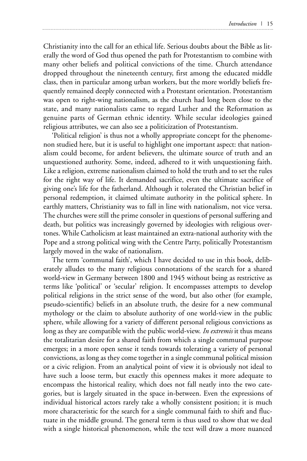Christianity into the call for an ethical life. Serious doubts about the Bible as literally the word of God thus opened the path for Protestantism to combine with many other beliefs and political convictions of the time. Church attendance dropped throughout the nineteenth century, first among the educated middle class, then in particular among urban workers, but the more worldly beliefs frequently remained deeply connected with a Protestant orientation. Protestantism was open to right-wing nationalism, as the church had long been close to the state, and many nationalists came to regard Luther and the Reformation as genuine parts of German ethnic identity. While secular ideologies gained religious attributes, we can also see a politicization of Protestantism.

'Political religion' is thus not a wholly appropriate concept for the phenomenon studied here, but it is useful to highlight one important aspect: that nationalism could become, for ardent believers, the ultimate source of truth and an unquestioned authority. Some, indeed, adhered to it with unquestioning faith. Like a religion, extreme nationalism claimed to hold the truth and to set the rules for the right way of life. It demanded sacrifice, even the ultimate sacrifice of giving one's life for the fatherland. Although it tolerated the Christian belief in personal redemption, it claimed ultimate authority in the political sphere. In earthly matters, Christianity was to fall in line with nationalism, not vice versa. The churches were still the prime consoler in questions of personal suffering and death, but politics was increasingly governed by ideologies with religious overtones. While Catholicism at least maintained an extra-national authority with the Pope and a strong political wing with the Centre Party, politically Protestantism largely moved in the wake of nationalism.

The term 'communal faith', which I have decided to use in this book, deliberately alludes to the many religious connotations of the search for a shared world-view in Germany between 1800 and 1945 without being as restrictive as terms like 'political' or 'secular' religion. It encompasses attempts to develop political religions in the strict sense of the word, but also other (for example, pseudo-scientific) beliefs in an absolute truth, the desire for a new communal mythology or the claim to absolute authority of one world-view in the public sphere, while allowing for a variety of different personal religious convictions as long as they are compatible with the public world-view. *In extremis* it thus means the totalitarian desire for a shared faith from which a single communal purpose emerges; in a more open sense it tends towards tolerating a variety of personal convictions, as long as they come together in a single communal political mission or a civic religion. From an analytical point of view it is obviously not ideal to have such a loose term, but exactly this openness makes it more adequate to encompass the historical reality, which does not fall neatly into the two categories, but is largely situated in the space in-between. Even the expressions of individual historical actors rarely take a wholly consistent position; it is much more characteristic for the search for a single communal faith to shift and fluctuate in the middle ground. The general term is thus used to show that we deal with a single historical phenomenon, while the text will draw a more nuanced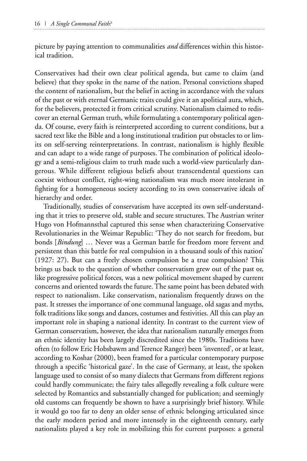picture by paying attention to communalities *and* differences within this historical tradition.

Conservatives had their own clear political agenda, but came to claim (and believe) that they spoke in the name of the nation. Personal convictions shaped the content of nationalism, but the belief in acting in accordance with the values of the past or with eternal Germanic traits could give it an apolitical aura, which, for the believers, protected it from critical scrutiny. Nationalism claimed to rediscover an eternal German truth, while formulating a contemporary political agenda. Of course, every faith is reinterpreted according to current conditions, but a sacred text like the Bible and a long institutional tradition put obstacles to or limits on self-serving reinterpretations. In contrast, nationalism is highly flexible and can adapt to a wide range of purposes. The combination of political ideology and a semi-religious claim to truth made such a world-view particularly dangerous. While different religious beliefs about transcendental questions can coexist without conflict, right-wing nationalism was much more intolerant in fighting for a homogeneous society according to its own conservative ideals of hierarchy and order.

Traditionally, studies of conservatism have accepted its own self-understanding that it tries to preserve old, stable and secure structures. The Austrian writer Hugo von Hofmannsthal captured this sense when characterizing Conservative Revolutionaries in the Weimar Republic: 'They do not search for freedom, but bonds [*Bindung*] … Never was a German battle for freedom more fervent and persistent than this battle for real compulsion in a thousand souls of this nation' (1927: 27). But can a freely chosen compulsion be a true compulsion? This brings us back to the question of whether conservatism grew out of the past or, like progressive political forces, was a new political movement shaped by current concerns and oriented towards the future. The same point has been debated with respect to nationalism. Like conservatism, nationalism frequently draws on the past. It stresses the importance of one communal language, old sagas and myths, folk traditions like songs and dances, costumes and festivities. All this can play an important role in shaping a national identity. In contrast to the current view of German conservatism, however, the idea that nationalism naturally emerges from an ethnic identity has been largely discredited since the 1980s. Traditions have often (to follow Eric Hobsbawm and Terence Ranger) been 'invented', or at least, according to Koshar (2000), been framed for a particular contemporary purpose through a specific 'historical gaze'. In the case of Germany, at least, the spoken language used to consist of so many dialects that Germans from different regions could hardly communicate; the fairy tales allegedly revealing a folk culture were selected by Romantics and substantially changed for publication; and seemingly old customs can frequently be shown to have a surprisingly brief history. While it would go too far to deny an older sense of ethnic belonging articulated since the early modern period and more intensely in the eighteenth century, early nationalists played a key role in mobilizing this for current purposes: a general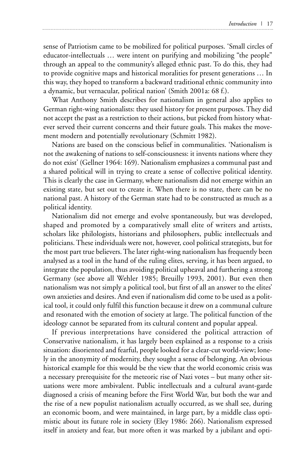sense of Patriotism came to be mobilized for political purposes. 'Small circles of educator-intellectuals … were intent on purifying and mobilizing "the people" through an appeal to the community's alleged ethnic past. To do this, they had to provide cognitive maps and historical moralities for present generations … In this way, they hoped to transform a backward traditional ethnic community into a dynamic, but vernacular, political nation' (Smith 2001a: 68 f.).

What Anthony Smith describes for nationalism in general also applies to German right-wing nationalists: they used history for present purposes. They did not accept the past as a restriction to their actions, but picked from history whatever served their current concerns and their future goals. This makes the movement modern and potentially revolutionary (Schmitt 1982).

Nations are based on the conscious belief in communalities. 'Nationalism is not the awakening of nations to self-consciousness: it invents nations where they do not exist' (Gellner 1964: 169). Nationalism emphasizes a communal past and a shared political will in trying to create a sense of collective political identity. This is clearly the case in Germany, where nationalism did not emerge within an existing state, but set out to create it. When there is no state, there can be no national past. A history of the German state had to be constructed as much as a political identity.

Nationalism did not emerge and evolve spontaneously, but was developed, shaped and promoted by a comparatively small elite of writers and artists, scholars like philologists, historians and philosophers, public intellectuals and politicians. These individuals were not, however, cool political strategists, but for the most part true believers. The later right-wing nationalism has frequently been analysed as a tool in the hand of the ruling elites, serving, it has been argued, to integrate the population, thus avoiding political upheaval and furthering a strong Germany (see above all Wehler 1985; Breuilly 1993, 2001). But even then nationalism was not simply a political tool, but first of all an answer to the elites' own anxieties and desires. And even if nationalism did come to be used as a political tool, it could only fulfil this function because it drew on a communal culture and resonated with the emotion of society at large. The political function of the ideology cannot be separated from its cultural content and popular appeal.

If previous interpretations have considered the political attraction of Conservative nationalism, it has largely been explained as a response to a crisis situation: disoriented and fearful, people looked for a clear-cut world-view; lonely in the anonymity of modernity, they sought a sense of belonging. An obvious historical example for this would be the view that the world economic crisis was a necessary prerequisite for the meteoric rise of Nazi votes – but many other situations were more ambivalent. Public intellectuals and a cultural avant-garde diagnosed a crisis of meaning before the First World War, but both the war and the rise of a new populist nationalism actually occurred, as we shall see, during an economic boom, and were maintained, in large part, by a middle class optimistic about its future role in society (Eley 1986: 266). Nationalism expressed itself in anxiety and fear, but more often it was marked by a jubilant and opti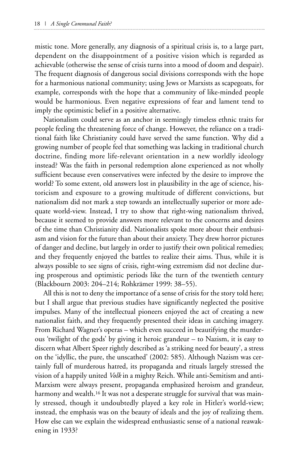mistic tone. More generally, any diagnosis of a spiritual crisis is, to a large part, dependent on the disappointment of a positive vision which is regarded as achievable (otherwise the sense of crisis turns into a mood of doom and despair). The frequent diagnosis of dangerous social divisions corresponds with the hope for a harmonious national community; using Jews or Marxists as scapegoats, for example, corresponds with the hope that a community of like-minded people would be harmonious. Even negative expressions of fear and lament tend to imply the optimistic belief in a positive alternative.

Nationalism could serve as an anchor in seemingly timeless ethnic traits for people feeling the threatening force of change. However, the reliance on a traditional faith like Christianity could have served the same function. Why did a growing number of people feel that something was lacking in traditional church doctrine, finding more life-relevant orientation in a new worldly ideology instead? Was the faith in personal redemption alone experienced as not wholly sufficient because even conservatives were infected by the desire to improve the world? To some extent, old answers lost in plausibility in the age of science, historicism and exposure to a growing multitude of different convictions, but nationalism did not mark a step towards an intellectually superior or more adequate world-view. Instead, I try to show that right-wing nationalism thrived, because it seemed to provide answers more relevant to the concerns and desires of the time than Christianity did. Nationalists spoke more about their enthusiasm and vision for the future than about their anxiety. They drew horror pictures of danger and decline, but largely in order to justify their own political remedies; and they frequently enjoyed the battles to realize their aims. Thus, while it is always possible to see signs of crisis, right-wing extremism did not decline during prosperous and optimistic periods like the turn of the twentieth century (Blackbourn 2003: 204–214; Rohkrämer 1999: 38–55).

All this is not to deny the importance of a sense of crisis for the story told here; but I shall argue that previous studies have significantly neglected the positive impulses. Many of the intellectual pioneers enjoyed the act of creating a new nationalist faith, and they frequently presented their ideas in catching imagery. From Richard Wagner's operas – which even succeed in beautifying the murderous 'twilight of the gods' by giving it heroic grandeur – to Nazism, it is easy to discern what Albert Speer rightly described as 'a striking need for beauty', a stress on the 'idyllic, the pure, the unscathed' (2002: 585). Although Nazism was certainly full of murderous hatred, its propaganda and rituals largely stressed the vision of a happily united *Volk* in a mighty Reich. While anti-Semitism and anti-Marxism were always present, propaganda emphasized heroism and grandeur, harmony and wealth.<sup>16</sup> It was not a desperate struggle for survival that was mainly stressed, though it undoubtedly played a key role in Hitler's world-view; instead, the emphasis was on the beauty of ideals and the joy of realizing them. How else can we explain the widespread enthusiastic sense of a national reawakening in 1933?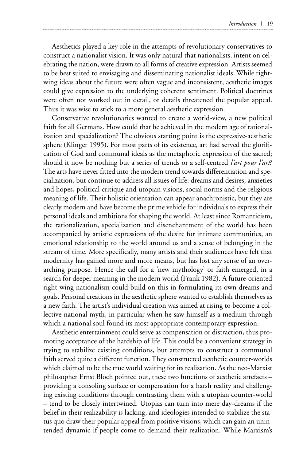Aesthetics played a key role in the attempts of revolutionary conservatives to construct a nationalist vision. It was only natural that nationalists, intent on celebrating the nation, were drawn to all forms of creative expression. Artists seemed to be best suited to envisaging and disseminating nationalist ideals. While rightwing ideas about the future were often vague and inconsistent, aesthetic images could give expression to the underlying coherent sentiment. Political doctrines were often not worked out in detail, or details threatened the popular appeal. Thus it was wise to stick to a more general aesthetic expression.

Conservative revolutionaries wanted to create a world-view, a new political faith for all Germans. How could that be achieved in the modern age of rationalization and specialization? The obvious starting point is the expressive-aesthetic sphere (Klinger 1995). For most parts of its existence, art had served the glorification of God and communal ideals as the metaphoric expression of the sacred; should it now be nothing but a series of trends or a self-centred *l'art pour l'art*? The arts have never fitted into the modern trend towards differentiation and specialization, but continue to address all issues of life: dreams and desires, anxieties and hopes, political critique and utopian visions, social norms and the religious meaning of life. Their holistic orientation can appear anachronistic, but they are clearly modern and have become the prime vehicle for individuals to express their personal ideals and ambitions for shaping the world. At least since Romanticism, the rationalization, specialization and disenchantment of the world has been accompanied by artistic expressions of the desire for intimate communities, an emotional relationship to the world around us and a sense of belonging in the stream of time. More specifically, many artists and their audiences have felt that modernity has gained more and more means, but has lost any sense of an overarching purpose. Hence the call for a 'new mythology' or faith emerged, in a search for deeper meaning in the modern world (Frank 1982). A future-oriented right-wing nationalism could build on this in formulating its own dreams and goals. Personal creations in the aesthetic sphere wanted to establish themselves as a new faith. The artist's individual creation was aimed at rising to become a collective national myth, in particular when he saw himself as a medium through which a national soul found its most appropriate contemporary expression.

Aesthetic entertainment could serve as compensation or distraction, thus promoting acceptance of the hardship of life. This could be a convenient strategy in trying to stabilize existing conditions, but attempts to construct a communal faith served quite a different function. They constructed aesthetic counter-worlds which claimed to be the true world waiting for its realization. As the neo-Marxist philosopher Ernst Bloch pointed out, these two functions of aesthetic artefacts – providing a consoling surface or compensation for a harsh reality and challenging existing conditions through contrasting them with a utopian counter-world – tend to be closely intertwined. Utopias can turn into mere day-dreams if the belief in their realizability is lacking, and ideologies intended to stabilize the status quo draw their popular appeal from positive visions, which can gain an unintended dynamic if people come to demand their realization. While Marxism's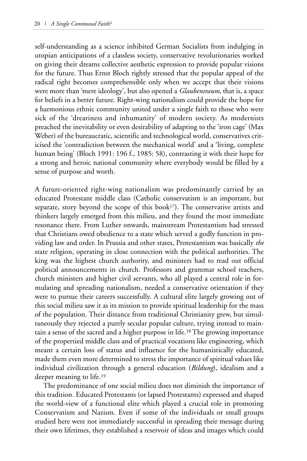self-understanding as a science inhibited German Socialists from indulging in utopian anticipations of a classless society, conservative revolutionaries worked on giving their dreams collective aesthetic expression to provide popular visions for the future. Thus Ernst Bloch rightly stressed that the popular appeal of the radical right becomes comprehensible only when we accept that their visions were more than 'mere ideology', but also opened a *Glaubensraum*, that is, a space for beliefs in a better future. Right-wing nationalism could provide the hope for a harmonious ethnic community united under a single faith to those who were sick of the 'dreariness and inhumanity' of modern society. As modernists preached the inevitability or even desirability of adapting to the 'iron cage' (Max Weber) of the bureaucratic, scientific and technological world, conservatives criticised the 'contradiction between the mechanical world' and a 'living, complete human being' (Bloch 1991: 196 f., 1985: 58), contrasting it with their hope for a strong and heroic national community where everybody would be filled by a sense of purpose and worth.

A future-oriented right-wing nationalism was predominantly carried by an educated Protestant middle class (Catholic conservatism is an important, but separate, story beyond the scope of this book<sup>17</sup>). The conservative artists and thinkers largely emerged from this milieu, and they found the most immediate resonance there. From Luther onwards, mainstream Protestantism had stressed that Christians owed obedience to a state which served a godly function in providing law and order. In Prussia and other states, Protestantism was basically *the* state religion, operating in close connection with the political authorities. The king was the highest church authority, and ministers had to read out official political announcements in church. Professors and grammar school teachers, church ministers and higher civil servants, who all played a central role in formulating and spreading nationalism, needed a conservative orientation if they were to pursue their careers successfully. A cultural elite largely growing out of this social milieu saw it as its mission to provide spiritual leadership for the mass of the population. Their distance from traditional Christianity grew, but simultaneously they rejected a purely secular popular culture, trying instead to maintain a sense of the sacred and a higher purpose in life.18 The growing importance of the propertied middle class and of practical vocations like engineering, which meant a certain loss of status and influence for the humanistically educated, made them even more determined to stress the importance of spiritual values like individual civilization through a general education (*Bildung*), idealism and a deeper meaning to life.19

The predominance of one social milieu does not diminish the importance of this tradition. Educated Protestants (or lapsed Protestants) expressed and shaped the world-view of a functional elite which played a crucial role in promoting Conservatism and Nazism. Even if some of the individuals or small groups studied here were not immediately successful in spreading their message during their own lifetimes, they established a reservoir of ideas and images which could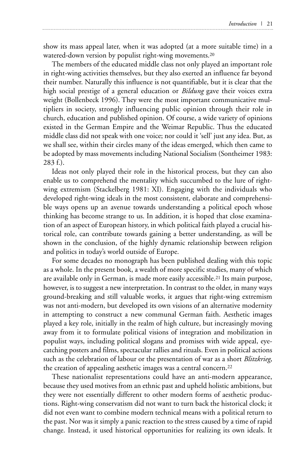show its mass appeal later, when it was adopted (at a more suitable time) in a watered-down version by populist right-wing movements.<sup>20</sup>

The members of the educated middle class not only played an important role in right-wing activities themselves, but they also exerted an influence far beyond their number. Naturally this influence is not quantifiable, but it is clear that the high social prestige of a general education or *Bildung* gave their voices extra weight (Bollenbeck 1996). They were the most important communicative multipliers in society, strongly influencing public opinion through their role in church, education and published opinion. Of course, a wide variety of opinions existed in the German Empire and the Weimar Republic. Thus the educated middle class did not speak with one voice; nor could it 'sell' just any idea. But, as we shall see, within their circles many of the ideas emerged, which then came to be adopted by mass movements including National Socialism (Sontheimer 1983: 283 f.).

Ideas not only played their role in the historical process, but they can also enable us to comprehend the mentality which succumbed to the lure of rightwing extremism (Stackelberg 1981: XI). Engaging with the individuals who developed right-wing ideals in the most consistent, elaborate and comprehensible ways opens up an avenue towards understanding a political epoch whose thinking has become strange to us. In addition, it is hoped that close examination of an aspect of European history, in which political faith played a crucial historical role, can contribute towards gaining a better understanding, as will be shown in the conclusion, of the highly dynamic relationship between religion and politics in today's world outside of Europe.

For some decades no monograph has been published dealing with this topic as a whole. In the present book, a wealth of more specific studies, many of which are available only in German, is made more easily accessible.21 Its main purpose, however, is to suggest a new interpretation. In contrast to the older, in many ways ground-breaking and still valuable works, it argues that right-wing extremism was not anti-modern, but developed its own visions of an alternative modernity in attempting to construct a new communal German faith. Aesthetic images played a key role, initially in the realm of high culture, but increasingly moving away from it to formulate political visions of integration and mobilization in populist ways, including political slogans and promises with wide appeal, eyecatching posters and films, spectacular rallies and rituals. Even in political actions such as the celebration of labour or the presentation of war as a short *Blitzkrieg*, the creation of appealing aesthetic images was a central concern.22

These nationalist representations could have an anti-modern appearance, because they used motives from an ethnic past and upheld holistic ambitions, but they were not essentially different to other modern forms of aesthetic productions. Right-wing conservatism did not want to turn back the historical clock; it did not even want to combine modern technical means with a political return to the past. Nor was it simply a panic reaction to the stress caused by a time of rapid change. Instead, it used historical opportunities for realizing its own ideals. It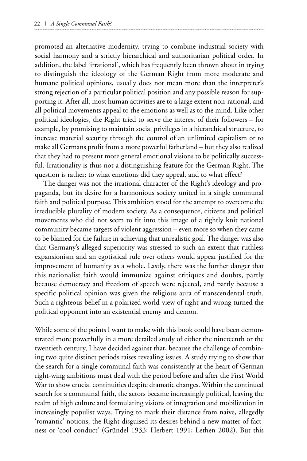promoted an alternative modernity, trying to combine industrial society with social harmony and a strictly hierarchical and authoritarian political order. In addition, the label 'irrational', which has frequently been thrown about in trying to distinguish the ideology of the German Right from more moderate and humane political opinions, usually does not mean more than the interpreter's strong rejection of a particular political position and any possible reason for supporting it. After all, most human activities are to a large extent non-rational, and all political movements appeal to the emotions as well as to the mind. Like other political ideologies, the Right tried to serve the interest of their followers – for example, by promising to maintain social privileges in a hierarchical structure, to increase material security through the control of an unlimited capitalism or to make all Germans profit from a more powerful fatherland – but they also realized that they had to present more general emotional visions to be politically successful. Irrationality is thus not a distinguishing feature for the German Right. The question is rather: to what emotions did they appeal, and to what effect?

The danger was not the irrational character of the Right's ideology and propaganda, but its desire for a harmonious society united in a single communal faith and political purpose. This ambition stood for the attempt to overcome the irreducible plurality of modern society. As a consequence, citizens and political movements who did not seem to fit into this image of a tightly knit national community became targets of violent aggression – even more so when they came to be blamed for the failure in achieving that unrealistic goal. The danger was also that Germany's alleged superiority was stressed to such an extent that ruthless expansionism and an egotistical rule over others would appear justified for the improvement of humanity as a whole. Lastly, there was the further danger that this nationalist faith would immunize against critiques and doubts, partly because democracy and freedom of speech were rejected, and partly because a specific political opinion was given the religious aura of transcendental truth. Such a righteous belief in a polarized world-view of right and wrong turned the political opponent into an existential enemy and demon.

While some of the points I want to make with this book could have been demonstrated more powerfully in a more detailed study of either the nineteenth or the twentieth century, I have decided against that, because the challenge of combining two quite distinct periods raises revealing issues. A study trying to show that the search for a single communal faith was consistently at the heart of German right-wing ambitions must deal with the period before and after the First World War to show crucial continuities despite dramatic changes. Within the continued search for a communal faith, the actors became increasingly political, leaving the realm of high culture and formulating visions of integration and mobilization in increasingly populist ways. Trying to mark their distance from naive, allegedly 'romantic' notions, the Right disguised its desires behind a new matter-of-factness or 'cool conduct' (Gründel 1933; Herbert 1991; Lethen 2002). But this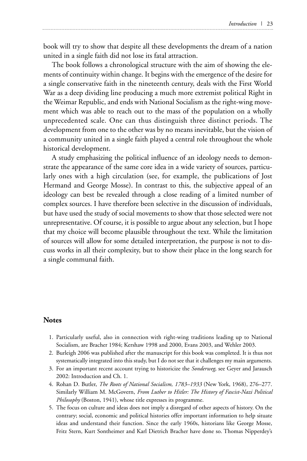book will try to show that despite all these developments the dream of a nation united in a single faith did not lose its fatal attraction.

The book follows a chronological structure with the aim of showing the elements of continuity within change. It begins with the emergence of the desire for a single conservative faith in the nineteenth century, deals with the First World War as a deep dividing line producing a much more extremist political Right in the Weimar Republic, and ends with National Socialism as the right-wing movement which was able to reach out to the mass of the population on a wholly unprecedented scale. One can thus distinguish three distinct periods. The development from one to the other was by no means inevitable, but the vision of a community united in a single faith played a central role throughout the whole historical development.

A study emphasizing the political influence of an ideology needs to demonstrate the appearance of the same core idea in a wide variety of sources, particularly ones with a high circulation (see, for example, the publications of Jost Hermand and George Mosse). In contrast to this, the subjective appeal of an ideology can best be revealed through a close reading of a limited number of complex sources. I have therefore been selective in the discussion of individuals, but have used the study of social movements to show that those selected were not unrepresentative. Of course, it is possible to argue about any selection, but I hope that my choice will become plausible throughout the text. While the limitation of sources will allow for some detailed interpretation, the purpose is not to discuss works in all their complexity, but to show their place in the long search for a single communal faith.

## **Notes**

- 1. Particularly useful, also in connection with right-wing traditions leading up to National Socialism, are Bracher 1984; Kershaw 1998 and 2000, Evans 2003, and Wehler 2003.
- 2. Burleigh 2006 was published after the manuscript for this book was completed. It is thus not systematically integrated into this study, but I do not see that it challenges my main arguments.
- 3. For an important recent account trying to historicize the *Sonderweg*, see Geyer and Jarausch 2002: Introduction and Ch. 1.
- 4. Rohan D. Butler, *The Roots of National Socialism, 1783–1933* (New York, 1968), 276–277. Similarly William M. McGovern, *From Luther to Hitler: The History of Fascist-Nazi Political Philosophy* (Boston, 1941), whose title expresses its programme.
- 5. The focus on culture and ideas does not imply a disregard of other aspects of history. On the contrary; social, economic and political histories offer important information to help situate ideas and understand their function. Since the early 1960s, historians like George Mosse, Fritz Stern, Kurt Sontheimer and Karl Dietrich Bracher have done so. Thomas Nipperdey's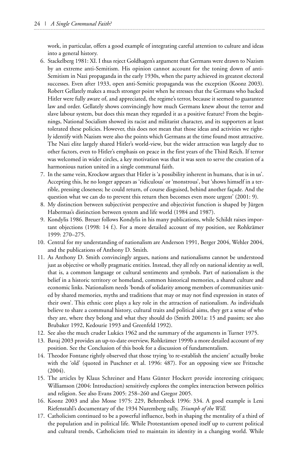work, in particular, offers a good example of integrating careful attention to culture and ideas into a general history.

- 6. Stackelberg 1981: XI. I thus reject Goldhagen's argument that Germans were drawn to Nazism by an extreme anti-Semitism. His opinion cannot account for the toning down of anti-Semitism in Nazi propaganda in the early 1930s, when the party achieved its greatest electoral successes. Even after 1933, open anti-Semitic propaganda was the exception (Koonz 2003). Robert Gellately makes a much stronger point when he stresses that the Germans who backed Hitler were fully aware of, and appreciated, the regime's terror, because it seemed to guarantee law and order. Gellately shows convincingly how much Germans knew about the terror and slave labour system, but does this mean they regarded it as a positive feature? From the beginnings, National Socialism showed its racist and militarist character, and its supporters at least tolerated these policies. However, this does not mean that those ideas and activities we rightly identify with Nazism were also the points which Germans at the time found most attractive. The Nazi elite largely shared Hitler's world-view, but the wider attraction was largely due to other factors, even to Hitler's emphasis on peace in the first years of the Third Reich. If terror was welcomed in wider circles, a key motivation was that it was seen to serve the creation of a harmonious nation united in a single communal faith.
- 7. In the same vein, Krockow argues that Hitler is 'a possibility inherent in humans, that is in us'. Accepting this, he no longer appears as 'ridiculous' or 'monstrous', but 'shows himself in a terrible, pressing closeness; he could return, of course disguised, behind another façade. And the question what we can do to prevent this return then becomes even more urgent' (2001: 9).
- 8. My distinction between subjectivist perspective and objectivist function is shaped by Jürgen Habermas's distinction between system and life world (1984 and 1987).
- 9. Kondylis 1986. Breuer follows Kondylis in his many publications, while Schildt raises important objections (1998: 14 f.). For a more detailed account of my position, see Rohkrämer 1999: 270–275.
- 10. Central for my understanding of nationalism are Anderson 1991, Berger 2004, Wehler 2004, and the publications of Anthony D. Smith.
- 11. As Anthony D. Smith convincingly argues, nations and nationalisms cannot be understood just as objective or wholly pragmatic entities. Instead, they all rely on national identity as well, that is, a common language or cultural sentiments and symbols. Part of nationalism is the belief in a historic territory or homeland, common historical memories, a shared culture and economic links. Nationalism needs 'bonds of solidarity among members of communities united by shared memories, myths and traditions that may or may not find expression in states of their own'. This ethnic core plays a key role in the attraction of nationalism. As individuals believe to share a communal history, cultural traits and political aims, they get a sense of who they are, where they belong and what they should do (Smith 2001a: 15 and passim; see also Brubaker 1992, Kedourie 1993 and Greenfeld 1992).
- 12. See also the much cruder Lukács 1962 and the summary of the arguments in Turner 1975.
- 13. Bavaj 2003 provides an up-to-date overview, Rohkrämer 1999b a more detailed account of my position. See the Conclusion of this book for a discussion of fundamentalism.
- 14. Theodor Fontane rightly observed that those trying 'to re-establish the ancient' actually broke with the 'old' (quoted in Puschner et al. 1996: 487). For an opposing view see Fritzsche (2004).
- 15. The articles by Klaus Schreiner and Hans Günter Hockert provide interesting critiques; Williamson (2004: Introduction) sensitively explores the complex interaction between politics and religion. See also Evans 2005: 258–260 and Gregor 2005.
- 16. Koonz 2003 and also Mosse 1975: 229, Behrenbeck 1996: 334. A good example is Leni Riefenstahl's documentary of the 1934 Nuremberg rally, *Triumph of the Will*.
- 17. Catholicism continued to be a powerful influence, both in shaping the mentality of a third of the population and in political life. While Protestantism opened itself up to current political and cultural trends, Catholicism tried to maintain its identity in a changing world. While